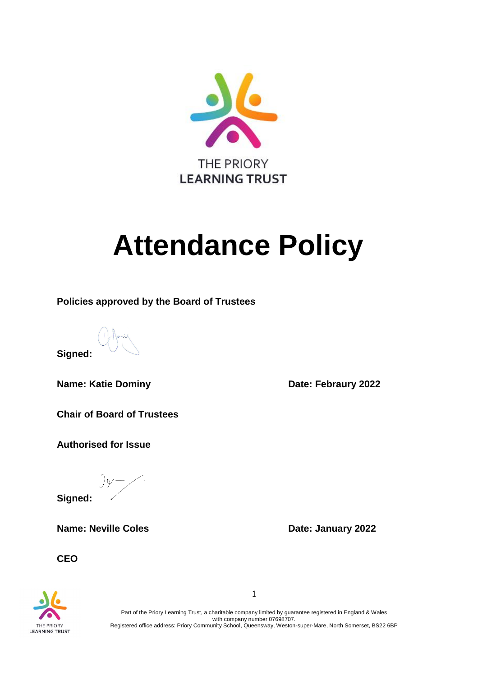

# **Attendance Policy**

**Policies approved by the Board of Trustees**

**Signed:**

**Name: Katie Dominy** *Date:* **Febraury 2022** 

**Chair of Board of Trustees** 

**Authorised for Issue**

 $\frac{1}{2}$ 

**Signed:**

**Name: Neville Coles Date: January 2022** 

**CEO**



Part of the Priory Learning Trust, a charitable company limited by guarantee registered in England & Wales with company number 07698707. Registered office address: Priory Community School, Queensway, Weston-super-Mare, North Somerset, BS22 6BP

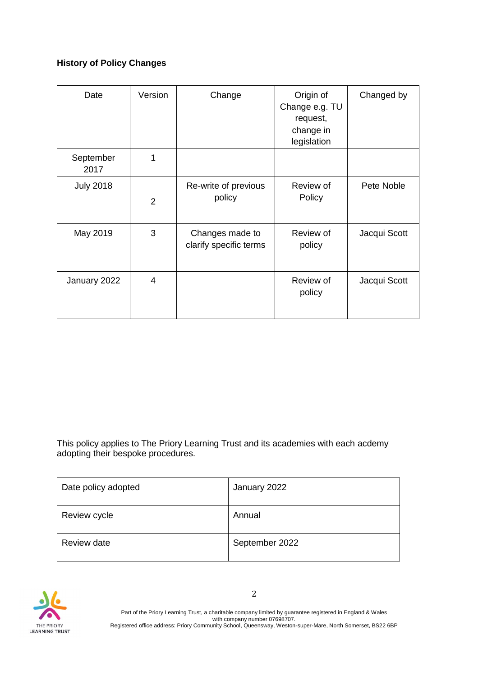# **History of Policy Changes**

| Date              | Version        | Change                                    | Origin of<br>Change e.g. TU<br>request,<br>change in<br>legislation | Changed by   |
|-------------------|----------------|-------------------------------------------|---------------------------------------------------------------------|--------------|
| September<br>2017 | 1              |                                           |                                                                     |              |
| <b>July 2018</b>  | $\overline{2}$ | Re-write of previous<br>policy            | Review of<br>Policy                                                 | Pete Noble   |
| May 2019          | 3              | Changes made to<br>clarify specific terms | Review of<br>policy                                                 | Jacqui Scott |
| January 2022      | 4              |                                           | Review of<br>policy                                                 | Jacqui Scott |

This policy applies to The Priory Learning Trust and its academies with each acdemy adopting their bespoke procedures.

| Date policy adopted | January 2022   |
|---------------------|----------------|
| Review cycle        | Annual         |
| Review date         | September 2022 |

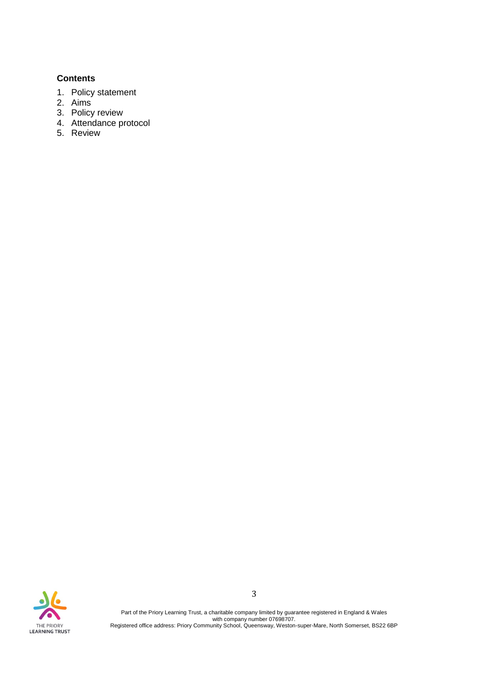## **Contents**

- 1. Policy statement
- 2. Aims
- 3. Policy review
- 4. Attendance protocol
- 5. Review

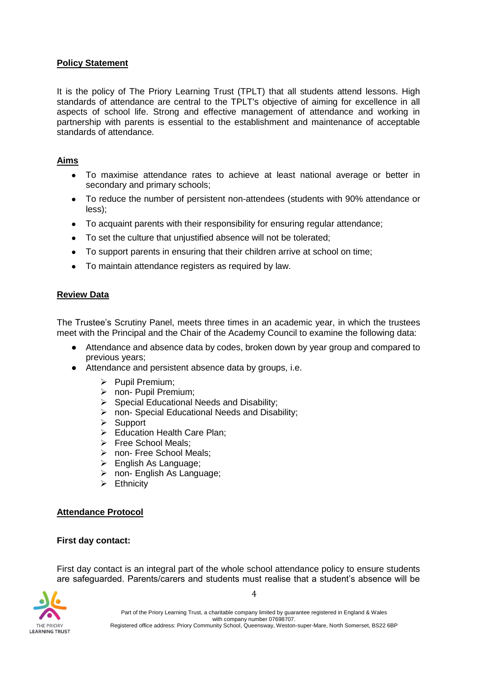#### **Policy Statement**

It is the policy of The Priory Learning Trust (TPLT) that all students attend lessons. High standards of attendance are central to the TPLT's objective of aiming for excellence in all aspects of school life. Strong and effective management of attendance and working in partnership with parents is essential to the establishment and maintenance of acceptable standards of attendance.

## **Aims**

- To maximise attendance rates to achieve at least national average or better in secondary and primary schools;
- To reduce the number of persistent non-attendees (students with 90% attendance or less);
- To acquaint parents with their responsibility for ensuring regular attendance;
- To set the culture that unjustified absence will not be tolerated;
- To support parents in ensuring that their children arrive at school on time;
- To maintain attendance registers as required by law.

## **Review Data**

The Trustee's Scrutiny Panel, meets three times in an academic year, in which the trustees meet with the Principal and the Chair of the Academy Council to examine the following data:

- Attendance and absence data by codes, broken down by year group and compared to previous years;
- Attendance and persistent absence data by groups, i.e.
	- ➢ Pupil Premium;
	- ➢ non- Pupil Premium;
	- ➢ Special Educational Needs and Disability;
	- ➢ non- Special Educational Needs and Disability;
	- ➢ Support
	- ➢ Education Health Care Plan;
	- ➢ Free School Meals;
	- ➢ non- Free School Meals;
	- ➢ English As Language;
	- ➢ non- English As Language;
	- ➢ Ethnicity

#### **Attendance Protocol**

#### **First day contact:**

First day contact is an integral part of the whole school attendance policy to ensure students are safeguarded. Parents/carers and students must realise that a student's absence will be



4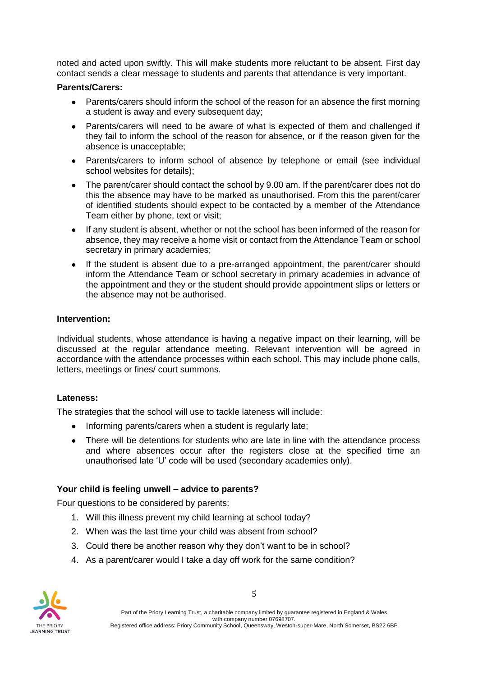noted and acted upon swiftly. This will make students more reluctant to be absent. First day contact sends a clear message to students and parents that attendance is very important.

## **Parents/Carers:**

- Parents/carers should inform the school of the reason for an absence the first morning a student is away and every subsequent day;
- Parents/carers will need to be aware of what is expected of them and challenged if they fail to inform the school of the reason for absence, or if the reason given for the absence is unacceptable;
- Parents/carers to inform school of absence by telephone or email (see individual school websites for details);
- The parent/carer should contact the school by 9.00 am. If the parent/carer does not do this the absence may have to be marked as unauthorised. From this the parent/carer of identified students should expect to be contacted by a member of the Attendance Team either by phone, text or visit;
- If any student is absent, whether or not the school has been informed of the reason for absence, they may receive a home visit or contact from the Attendance Team or school secretary in primary academies;
- If the student is absent due to a pre-arranged appointment, the parent/carer should inform the Attendance Team or school secretary in primary academies in advance of the appointment and they or the student should provide appointment slips or letters or the absence may not be authorised.

## **Intervention:**

Individual students, whose attendance is having a negative impact on their learning, will be discussed at the regular attendance meeting. Relevant intervention will be agreed in accordance with the attendance processes within each school. This may include phone calls, letters, meetings or fines/ court summons.

#### **Lateness:**

The strategies that the school will use to tackle lateness will include:

- Informing parents/carers when a student is regularly late;
- There will be detentions for students who are late in line with the attendance process and where absences occur after the registers close at the specified time an unauthorised late 'U' code will be used (secondary academies only).

## **Your child is feeling unwell – advice to parents?**

Four questions to be considered by parents:

- 1. Will this illness prevent my child learning at school today?
- 2. When was the last time your child was absent from school?
- 3. Could there be another reason why they don't want to be in school?
- 4. As a parent/carer would I take a day off work for the same condition?

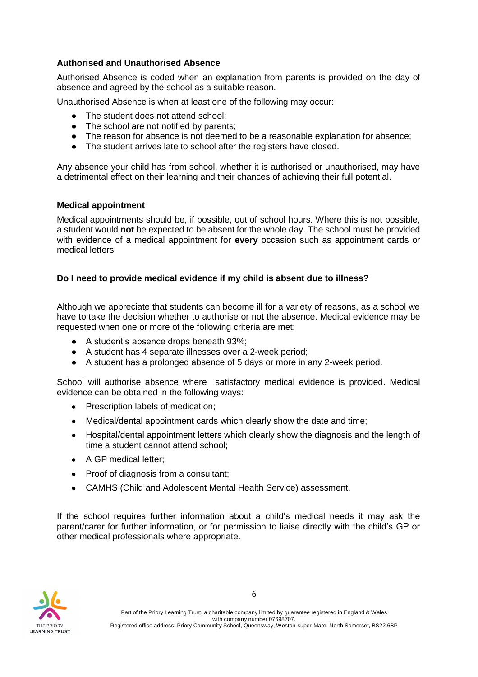#### **Authorised and Unauthorised Absence**

Authorised Absence is coded when an explanation from parents is provided on the day of absence and agreed by the school as a suitable reason.

Unauthorised Absence is when at least one of the following may occur:

- The student does not attend school;
- The school are not notified by parents;
- The reason for absence is not deemed to be a reasonable explanation for absence;
- The student arrives late to school after the registers have closed.

Any absence your child has from school, whether it is authorised or unauthorised, may have a detrimental effect on their learning and their chances of achieving their full potential.

#### **Medical appointment**

Medical appointments should be, if possible, out of school hours. Where this is not possible, a student would **not** be expected to be absent for the whole day. The school must be provided with evidence of a medical appointment for **every** occasion such as appointment cards or medical letters.

#### **Do I need to provide medical evidence if my child is absent due to illness?**

Although we appreciate that students can become ill for a variety of reasons, as a school we have to take the decision whether to authorise or not the absence. Medical evidence may be requested when one or more of the following criteria are met:

- A student's absence drops beneath 93%;
- A student has 4 separate illnesses over a 2-week period;
- A student has a prolonged absence of 5 days or more in any 2-week period.

School will authorise absence where satisfactory medical evidence is provided. Medical evidence can be obtained in the following ways:

- Prescription labels of medication;
- Medical/dental appointment cards which clearly show the date and time;
- Hospital/dental appointment letters which clearly show the diagnosis and the length of time a student cannot attend school;
- A GP medical letter:
- Proof of diagnosis from a consultant;
- CAMHS (Child and Adolescent Mental Health Service) assessment.

If the school requires further information about a child's medical needs it may ask the parent/carer for further information, or for permission to liaise directly with the child's GP or other medical professionals where appropriate.

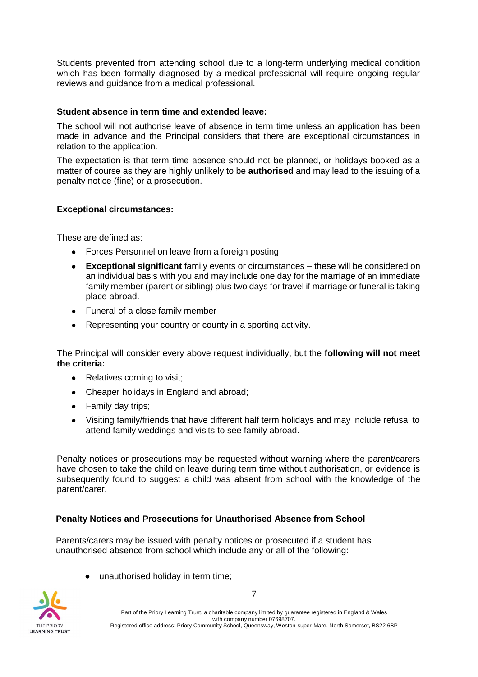Students prevented from attending school due to a long-term underlying medical condition which has been formally diagnosed by a medical professional will require ongoing regular reviews and guidance from a medical professional.

#### **Student absence in term time and extended leave:**

The school will not authorise leave of absence in term time unless an application has been made in advance and the Principal considers that there are exceptional circumstances in relation to the application.

The expectation is that term time absence should not be planned, or holidays booked as a matter of course as they are highly unlikely to be **authorised** and may lead to the issuing of a penalty notice (fine) or a prosecution.

## **Exceptional circumstances:**

These are defined as:

- Forces Personnel on leave from a foreign posting;
- **Exceptional significant** family events or circumstances these will be considered on an individual basis with you and may include one day for the marriage of an immediate family member (parent or sibling) plus two days for travel if marriage or funeral is taking place abroad.
- Funeral of a close family member
- Representing your country or county in a sporting activity.

The Principal will consider every above request individually, but the **following will not meet the criteria:** 

- Relatives coming to visit;
- Cheaper holidays in England and abroad;
- Family day trips;
- Visiting family/friends that have different half term holidays and may include refusal to attend family weddings and visits to see family abroad.

Penalty notices or prosecutions may be requested without warning where the parent/carers have chosen to take the child on leave during term time without authorisation, or evidence is subsequently found to suggest a child was absent from school with the knowledge of the parent/carer.

#### **Penalty Notices and Prosecutions for Unauthorised Absence from School**

Parents/carers may be issued with penalty notices or prosecuted if a student has unauthorised absence from school which include any or all of the following:

● unauthorised holiday in term time;